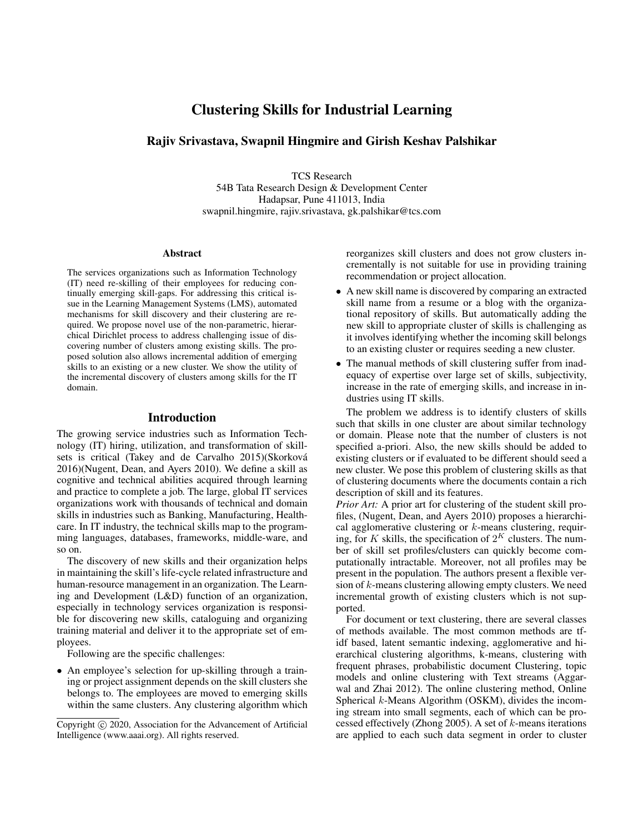# Clustering Skills for Industrial Learning

## Rajiv Srivastava, Swapnil Hingmire and Girish Keshav Palshikar

TCS Research 54B Tata Research Design & Development Center Hadapsar, Pune 411013, India swapnil.hingmire, rajiv.srivastava, gk.palshikar@tcs.com

#### **Abstract**

The services organizations such as Information Technology (IT) need re-skilling of their employees for reducing continually emerging skill-gaps. For addressing this critical issue in the Learning Management Systems (LMS), automated mechanisms for skill discovery and their clustering are required. We propose novel use of the non-parametric, hierarchical Dirichlet process to address challenging issue of discovering number of clusters among existing skills. The proposed solution also allows incremental addition of emerging skills to an existing or a new cluster. We show the utility of the incremental discovery of clusters among skills for the IT domain.

### Introduction

The growing service industries such as Information Technology (IT) hiring, utilization, and transformation of skillsets is critical (Takey and de Carvalho 2015)(Skorková 2016)(Nugent, Dean, and Ayers 2010). We define a skill as cognitive and technical abilities acquired through learning and practice to complete a job. The large, global IT services organizations work with thousands of technical and domain skills in industries such as Banking, Manufacturing, Healthcare. In IT industry, the technical skills map to the programming languages, databases, frameworks, middle-ware, and so on.

The discovery of new skills and their organization helps in maintaining the skill's life-cycle related infrastructure and human-resource management in an organization. The Learning and Development (L&D) function of an organization, especially in technology services organization is responsible for discovering new skills, cataloguing and organizing training material and deliver it to the appropriate set of employees.

Following are the specific challenges:

• An employee's selection for up-skilling through a training or project assignment depends on the skill clusters she belongs to. The employees are moved to emerging skills within the same clusters. Any clustering algorithm which reorganizes skill clusters and does not grow clusters incrementally is not suitable for use in providing training recommendation or project allocation.

- A new skill name is discovered by comparing an extracted skill name from a resume or a blog with the organizational repository of skills. But automatically adding the new skill to appropriate cluster of skills is challenging as it involves identifying whether the incoming skill belongs to an existing cluster or requires seeding a new cluster.
- The manual methods of skill clustering suffer from inadequacy of expertise over large set of skills, subjectivity, increase in the rate of emerging skills, and increase in industries using IT skills.

The problem we address is to identify clusters of skills such that skills in one cluster are about similar technology or domain. Please note that the number of clusters is not specified a-priori. Also, the new skills should be added to existing clusters or if evaluated to be different should seed a new cluster. We pose this problem of clustering skills as that of clustering documents where the documents contain a rich description of skill and its features.

*Prior Art:* A prior art for clustering of the student skill profiles, (Nugent, Dean, and Ayers 2010) proposes a hierarchical agglomerative clustering or  $k$ -means clustering, requiring, for K skills, the specification of  $2^K$  clusters. The number of skill set profiles/clusters can quickly become computationally intractable. Moreover, not all profiles may be present in the population. The authors present a flexible version of  $k$ -means clustering allowing empty clusters. We need incremental growth of existing clusters which is not supported.

For document or text clustering, there are several classes of methods available. The most common methods are tfidf based, latent semantic indexing, agglomerative and hierarchical clustering algorithms, k-means, clustering with frequent phrases, probabilistic document Clustering, topic models and online clustering with Text streams (Aggarwal and Zhai 2012). The online clustering method, Online Spherical k-Means Algorithm (OSKM), divides the incoming stream into small segments, each of which can be processed effectively (Zhong 2005). A set of  $k$ -means iterations are applied to each such data segment in order to cluster

Copyright (c) 2020, Association for the Advancement of Artificial Intelligence (www.aaai.org). All rights reserved.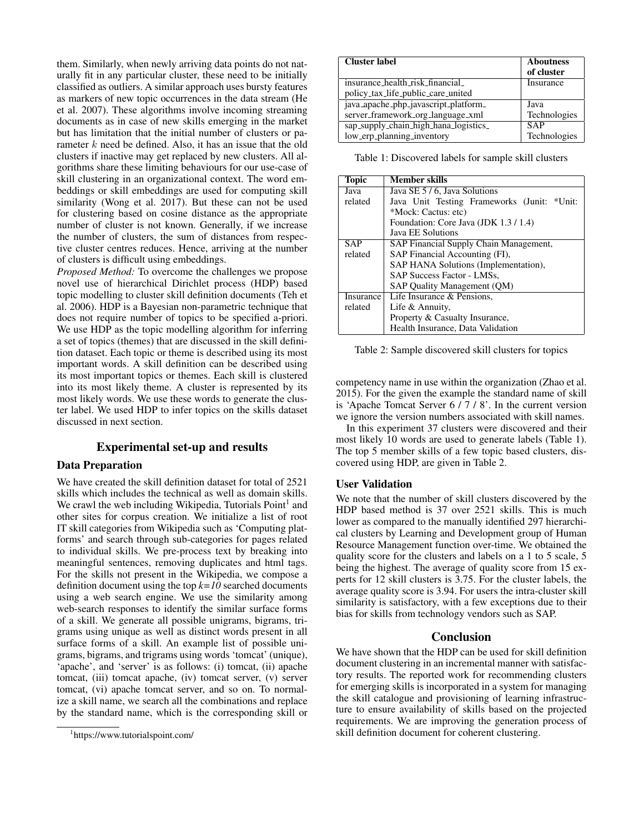them. Similarly, when newly arriving data points do not naturally fit in any particular cluster, these need to be initially classified as outliers. A similar approach uses bursty features as markers of new topic occurrences in the data stream (He et al. 2007). These algorithms involve incoming streaming documents as in case of new skills emerging in the market but has limitation that the initial number of clusters or parameter k need be defined. Also, it has an issue that the old clusters if inactive may get replaced by new clusters. All algorithms share these limiting behaviours for our use-case of skill clustering in an organizational context. The word embeddings or skill embeddings are used for computing skill similarity (Wong et al. 2017). But these can not be used for clustering based on cosine distance as the appropriate number of cluster is not known. Generally, if we increase the number of clusters, the sum of distances from respective cluster centres reduces. Hence, arriving at the number of clusters is difficult using embeddings.

*Proposed Method:* To overcome the challenges we propose novel use of hierarchical Dirichlet process (HDP) based topic modelling to cluster skill definition documents (Teh et al. 2006). HDP is a Bayesian non-parametric technique that does not require number of topics to be specified a-priori. We use HDP as the topic modelling algorithm for inferring a set of topics (themes) that are discussed in the skill definition dataset. Each topic or theme is described using its most important words. A skill definition can be described using its most important topics or themes. Each skill is clustered into its most likely theme. A cluster is represented by its most likely words. We use these words to generate the cluster label. We used HDP to infer topics on the skills dataset discussed in next section.

## Experimental set-up and results

## Data Preparation

We have created the skill definition dataset for total of 2521 skills which includes the technical as well as domain skills. We crawl the web including Wikipedia, Tutorials Point<sup>1</sup> and other sites for corpus creation. We initialize a list of root IT skill categories from Wikipedia such as 'Computing platforms' and search through sub-categories for pages related to individual skills. We pre-process text by breaking into meaningful sentences, removing duplicates and html tags. For the skills not present in the Wikipedia, we compose a definition document using the top *k=10* searched documents using a web search engine. We use the similarity among web-search responses to identify the similar surface forms of a skill. We generate all possible unigrams, bigrams, trigrams using unique as well as distinct words present in all surface forms of a skill. An example list of possible unigrams, bigrams, and trigrams using words 'tomcat' (unique), 'apache', and 'server' is as follows: (i) tomcat, (ii) apache tomcat, (iii) tomcat apache, (iv) tomcat server, (v) server tomcat, (vi) apache tomcat server, and so on. To normalize a skill name, we search all the combinations and replace by the standard name, which is the corresponding skill or

| <b>Cluster label</b>                  | <b>Aboutness</b><br>of cluster |
|---------------------------------------|--------------------------------|
| insurance health risk financial       | Insurance                      |
| policy_tax_life_public_care_united    |                                |
| java_apache_php_javascript_platform_  | Java                           |
| server_framework_org_language_xml     | Technologies                   |
| sap_supply_chain_high_hana_logistics_ | <b>SAP</b>                     |
| low_erp_planning_inventory            | Technologies                   |

Table 1: Discovered labels for sample skill clusters

| Topic      | Member skills                               |
|------------|---------------------------------------------|
| Java       | Java SE 5 / 6, Java Solutions               |
| related    | Java Unit Testing Frameworks (Junit: *Unit: |
|            | *Mock: Cactus: etc)                         |
|            | Foundation: Core Java (JDK 1.3/1.4)         |
|            | Java EE Solutions                           |
| <b>SAP</b> | SAP Financial Supply Chain Management,      |
| related    | SAP Financial Accounting (FI),              |
|            | SAP HANA Solutions (Implementation),        |
|            | SAP Success Factor - LMSs,                  |
|            | SAP Quality Management (QM)                 |
| Insurance  | Life Insurance & Pensions,                  |
| related    | Life & Annuity,                             |
|            | Property & Casualty Insurance,              |
|            | Health Insurance, Data Validation           |

Table 2: Sample discovered skill clusters for topics

competency name in use within the organization (Zhao et al. 2015). For the given the example the standard name of skill is 'Apache Tomcat Server 6 / 7 / 8'. In the current version we ignore the version numbers associated with skill names.

In this experiment 37 clusters were discovered and their most likely 10 words are used to generate labels (Table 1). The top 5 member skills of a few topic based clusters, discovered using HDP, are given in Table 2.

### User Validation

We note that the number of skill clusters discovered by the HDP based method is 37 over 2521 skills. This is much lower as compared to the manually identified 297 hierarchical clusters by Learning and Development group of Human Resource Management function over-time. We obtained the quality score for the clusters and labels on a 1 to 5 scale, 5 being the highest. The average of quality score from 15 experts for 12 skill clusters is 3.75. For the cluster labels, the average quality score is 3.94. For users the intra-cluster skill similarity is satisfactory, with a few exceptions due to their bias for skills from technology vendors such as SAP.

#### Conclusion

We have shown that the HDP can be used for skill definition document clustering in an incremental manner with satisfactory results. The reported work for recommending clusters for emerging skills is incorporated in a system for managing the skill catalogue and provisioning of learning infrastructure to ensure availability of skills based on the projected requirements. We are improving the generation process of skill definition document for coherent clustering.

<sup>1</sup> https://www.tutorialspoint.com/